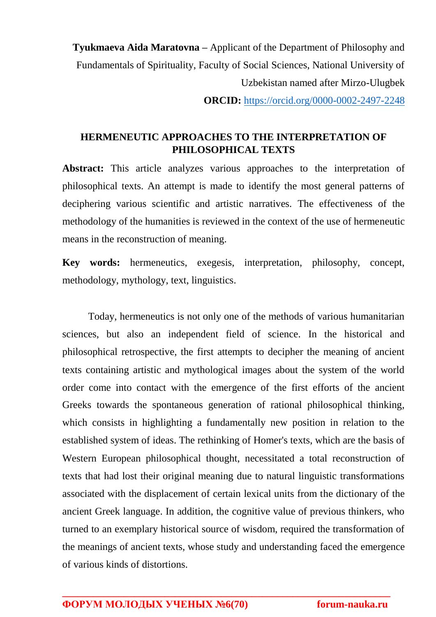**Tyukmaeva Aida Maratovna –** Applicant of the Department of Philosophy and Fundamentals of Spirituality, Faculty of Social Sciences, National University of Uzbekistan named after Mirzo-Ulugbek **ORCID:** <https://orcid.org/0000-0002-2497-2248>

## **HERMENEUTIC APPROACHES TO THE INTERPRETATION OF PHILOSOPHICAL TEXTS**

**Abstract:** This article analyzes various approaches to the interpretation of philosophical texts. An attempt is made to identify the most general patterns of deciphering various scientific and artistic narratives. The effectiveness of the methodology of the humanities is reviewed in the context of the use of hermeneutic means in the reconstruction of meaning.

**Key words:** hermeneutics, exegesis, interpretation, philosophy, concept, methodology, mythology, text, linguistics.

Today, hermeneutics is not only one of the methods of various humanitarian sciences, but also an independent field of science. In the historical and philosophical retrospective, the first attempts to decipher the meaning of ancient texts containing artistic and mythological images about the system of the world order come into contact with the emergence of the first efforts of the ancient Greeks towards the spontaneous generation of rational philosophical thinking, which consists in highlighting a fundamentally new position in relation to the established system of ideas. The rethinking of Homer's texts, which are the basis of Western European philosophical thought, necessitated a total reconstruction of texts that had lost their original meaning due to natural linguistic transformations associated with the displacement of certain lexical units from the dictionary of the ancient Greek language. In addition, the cognitive value of previous thinkers, who turned to an exemplary historical source of wisdom, required the transformation of the meanings of ancient texts, whose study and understanding faced the emergence of various kinds of distortions.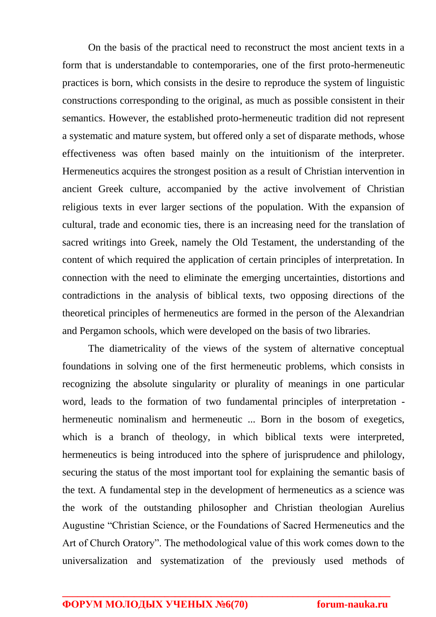On the basis of the practical need to reconstruct the most ancient texts in a form that is understandable to contemporaries, one of the first proto-hermeneutic practices is born, which consists in the desire to reproduce the system of linguistic constructions corresponding to the original, as much as possible consistent in their semantics. However, the established proto-hermeneutic tradition did not represent a systematic and mature system, but offered only a set of disparate methods, whose effectiveness was often based mainly on the intuitionism of the interpreter. Hermeneutics acquires the strongest position as a result of Christian intervention in ancient Greek culture, accompanied by the active involvement of Christian religious texts in ever larger sections of the population. With the expansion of cultural, trade and economic ties, there is an increasing need for the translation of sacred writings into Greek, namely the Old Testament, the understanding of the content of which required the application of certain principles of interpretation. In connection with the need to eliminate the emerging uncertainties, distortions and contradictions in the analysis of biblical texts, two opposing directions of the theoretical principles of hermeneutics are formed in the person of the Alexandrian and Pergamon schools, which were developed on the basis of two libraries.

The diametricality of the views of the system of alternative conceptual foundations in solving one of the first hermeneutic problems, which consists in recognizing the absolute singularity or plurality of meanings in one particular word, leads to the formation of two fundamental principles of interpretation hermeneutic nominalism and hermeneutic ... Born in the bosom of exegetics, which is a branch of theology, in which biblical texts were interpreted, hermeneutics is being introduced into the sphere of jurisprudence and philology, securing the status of the most important tool for explaining the semantic basis of the text. A fundamental step in the development of hermeneutics as a science was the work of the outstanding philosopher and Christian theologian Aurelius Augustine "Christian Science, or the Foundations of Sacred Hermeneutics and the Art of Church Oratory". The methodological value of this work comes down to the universalization and systematization of the previously used methods of

**\_\_\_\_\_\_\_\_\_\_\_\_\_\_\_\_\_\_\_\_\_\_\_\_\_\_\_\_\_\_\_\_\_\_\_\_\_\_\_\_\_\_\_\_\_\_\_\_\_\_\_\_\_\_\_\_\_\_\_\_\_\_\_\_**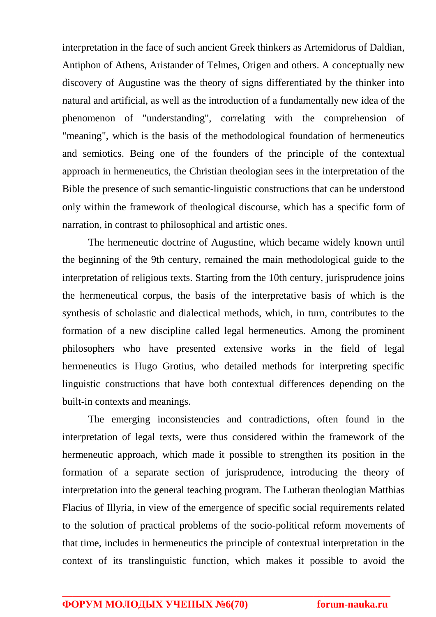interpretation in the face of such ancient Greek thinkers as Artemidorus of Daldian, Antiphon of Athens, Aristander of Telmes, Origen and others. A conceptually new discovery of Augustine was the theory of signs differentiated by the thinker into natural and artificial, as well as the introduction of a fundamentally new idea of the phenomenon of "understanding", correlating with the comprehension of "meaning", which is the basis of the methodological foundation of hermeneutics and semiotics. Being one of the founders of the principle of the contextual approach in hermeneutics, the Christian theologian sees in the interpretation of the Bible the presence of such semantic-linguistic constructions that can be understood only within the framework of theological discourse, which has a specific form of narration, in contrast to philosophical and artistic ones.

The hermeneutic doctrine of Augustine, which became widely known until the beginning of the 9th century, remained the main methodological guide to the interpretation of religious texts. Starting from the 10th century, jurisprudence joins the hermeneutical corpus, the basis of the interpretative basis of which is the synthesis of scholastic and dialectical methods, which, in turn, contributes to the formation of a new discipline called legal hermeneutics. Among the prominent philosophers who have presented extensive works in the field of legal hermeneutics is Hugo Grotius, who detailed methods for interpreting specific linguistic constructions that have both contextual differences depending on the built-in contexts and meanings.

The emerging inconsistencies and contradictions, often found in the interpretation of legal texts, were thus considered within the framework of the hermeneutic approach, which made it possible to strengthen its position in the formation of a separate section of jurisprudence, introducing the theory of interpretation into the general teaching program. The Lutheran theologian Matthias Flacius of Illyria, in view of the emergence of specific social requirements related to the solution of practical problems of the socio-political reform movements of that time, includes in hermeneutics the principle of contextual interpretation in the context of its translinguistic function, which makes it possible to avoid the

**\_\_\_\_\_\_\_\_\_\_\_\_\_\_\_\_\_\_\_\_\_\_\_\_\_\_\_\_\_\_\_\_\_\_\_\_\_\_\_\_\_\_\_\_\_\_\_\_\_\_\_\_\_\_\_\_\_\_\_\_\_\_\_\_**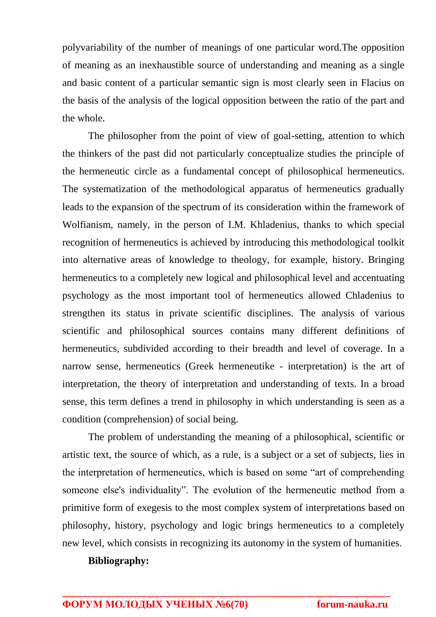polyvariability of the number of meanings of one particular word.The opposition of meaning as an inexhaustible source of understanding and meaning as a single and basic content of a particular semantic sign is most clearly seen in Flacius on the basis of the analysis of the logical opposition between the ratio of the part and the whole.

The philosopher from the point of view of goal-setting, attention to which the thinkers of the past did not particularly conceptualize studies the principle of the hermeneutic circle as a fundamental concept of philosophical hermeneutics. The systematization of the methodological apparatus of hermeneutics gradually leads to the expansion of the spectrum of its consideration within the framework of Wolfianism, namely, in the person of I.M. Khladenius, thanks to which special recognition of hermeneutics is achieved by introducing this methodological toolkit into alternative areas of knowledge to theology, for example, history. Bringing hermeneutics to a completely new logical and philosophical level and accentuating psychology as the most important tool of hermeneutics allowed Chladenius to strengthen its status in private scientific disciplines. The analysis of various scientific and philosophical sources contains many different definitions of hermeneutics, subdivided according to their breadth and level of coverage. In a narrow sense, hermeneutics (Greek hermeneutike - interpretation) is the art of interpretation, the theory of interpretation and understanding of texts. In a broad sense, this term defines a trend in philosophy in which understanding is seen as a condition (comprehension) of social being.

The problem of understanding the meaning of a philosophical, scientific or artistic text, the source of which, as a rule, is a subject or a set of subjects, lies in the interpretation of hermeneutics, which is based on some "art of comprehending someone else's individuality". The evolution of the hermeneutic method from a primitive form of exegesis to the most complex system of interpretations based on philosophy, history, psychology and logic brings hermeneutics to a completely new level, which consists in recognizing its autonomy in the system of humanities.

**\_\_\_\_\_\_\_\_\_\_\_\_\_\_\_\_\_\_\_\_\_\_\_\_\_\_\_\_\_\_\_\_\_\_\_\_\_\_\_\_\_\_\_\_\_\_\_\_\_\_\_\_\_\_\_\_\_\_\_\_\_\_\_\_** 

## **Bibliography:**